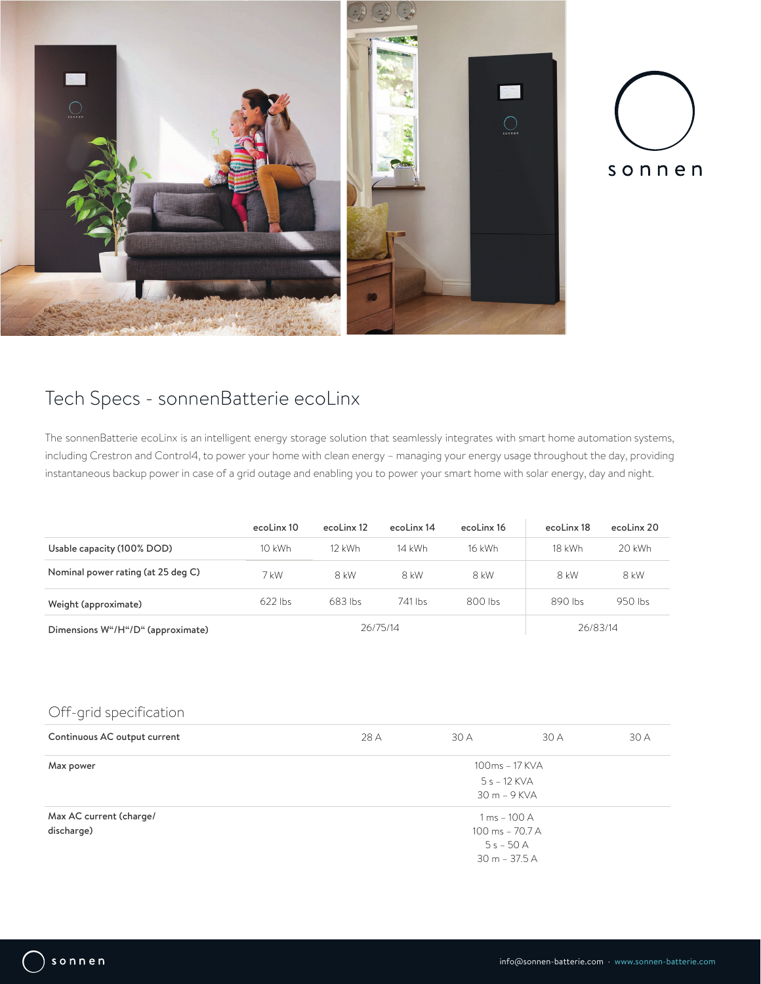



# Tech Specs - sonnenBatterie ecoLinx

The sonnenBatterie ecoLinx is an intelligent energy storage solution that seamlessly integrates with smart home automation systems, including Crestron and Control4, to power your home with clean energy – managing your energy usage throughout the day, providing instantaneous backup power in case of a grid outage and enabling you to power your smart home with solar energy, day and night.

|                                    | ecoLinx 10 | ecoLinx 12 | ecoLinx 14 | ecoLinx 16 | ecoLinx 18 | ecoLinx 20 |
|------------------------------------|------------|------------|------------|------------|------------|------------|
| Usable capacity (100% DOD)         | $10$ kWh   | $12$ kWh   | 14 kWh     | 16 kWh     | 18 kWh     | 20 kWh     |
| Nominal power rating (at 25 deg C) | 7 kW       | 8 kW       | 8 kW       | 8 kW       | 8 kW       | 8 kW       |
| Weight (approximate)               | $622$ lbs  | 683 lbs    | 741 lbs    | 800 lbs    | 890 lbs    | 950 lbs    |
| Dimensions W"/H"/D" (approximate)  |            |            | 26/75/14   |            | 26/83/14   |            |

## Off-grid specification

| Continuous AC output current | 28 A            | 30 A                      | 30 A | 30 A |
|------------------------------|-----------------|---------------------------|------|------|
| Max power                    | 100ms - 17 KVA  |                           |      |      |
|                              |                 | $5s - 12$ KVA             |      |      |
|                              |                 | $30 m - 9$ KVA            |      |      |
| Max AC current (charge/      |                 | $1 \,\mathrm{ms}$ – 100 A |      |      |
| discharge)                   | 100 ms - 70.7 A |                           |      |      |
|                              |                 | $5s - 50A$                |      |      |
|                              |                 | $30 m - 37.5 A$           |      |      |